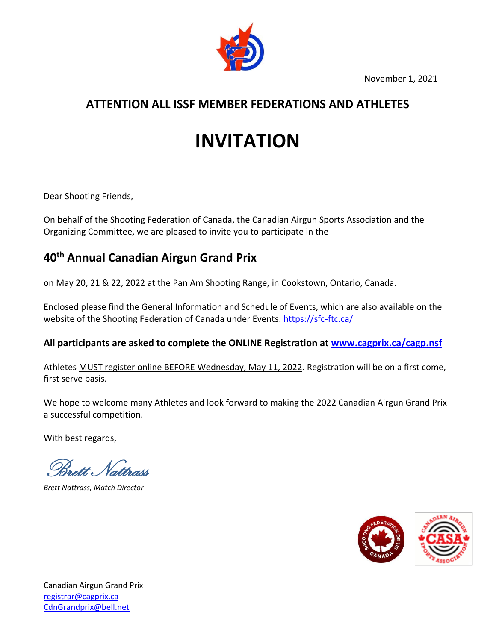November 1, 2021



# **ATTENTION ALL ISSF MEMBER FEDERATIONS AND ATHLETES**

# **INVITATION**

Dear Shooting Friends,

On behalf of the Shooting Federation of Canada, the Canadian Airgun Sports Association and the Organizing Committee, we are pleased to invite you to participate in the

# **40th Annual Canadian Airgun Grand Prix**

on May 20, 21 & 22, 2022 at the Pan Am Shooting Range, in Cookstown, Ontario, Canada.

Enclosed please find the General Information and Schedule of Events, which are also available on the website of the Shooting Federation of Canada under Events. <https://sfc-ftc.ca/>

**All participants are asked to complete the ONLINE Registration at [www.cagprix.ca/cagp.nsf](http://www.cagprix.ca/cagp.nsf)**

Athletes MUST register online BEFORE Wednesday, May 11, 2022. Registration will be on a first come, first serve basis.

We hope to welcome many Athletes and look forward to making the 2022 Canadian Airgun Grand Prix a successful competition.

With best regards,

Brett Nattrass

*Brett Nattrass, Match Director*

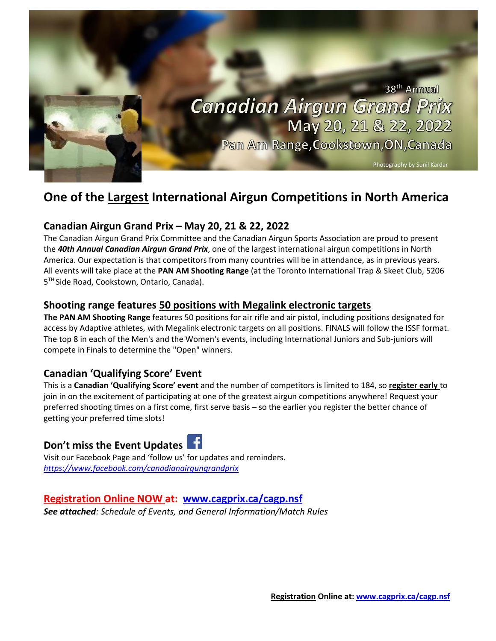

# **One of the Largest International Airgun Competitions in North America**

# **Canadian Airgun Grand Prix – May 20, 21 & 22, 2022**

The Canadian Airgun Grand Prix Committee and the Canadian Airgun Sports Association are proud to present the *40th Annual Canadian Airgun Grand Prix*, one of the largest international airgun competitions in North America. Our expectation is that competitors from many countries will be in attendance, as in previous years. All events will take place at the **PAN AM Shooting Range** (at the Toronto International Trap & Skeet Club, 5206 5<sup>™</sup> Side Road, Cookstown, Ontario, Canada).

### **Shooting range features 50 positions with Megalink electronic targets**

**The PAN AM Shooting Range** features 50 positions for air rifle and air pistol, including positions designated for access by Adaptive athletes, with Megalink electronic targets on all positions. FINALS will follow the ISSF format. The top 8 in each of the Men's and the Women's events, including International Juniors and Sub-juniors will compete in Finals to determine the "Open" winners.

# **Canadian 'Qualifying Score' Event**

This is a **Canadian 'Qualifying Score' event** and the number of competitors is limited to 184, so **register early** to join in on the excitement of participating at one of the greatest airgun competitions anywhere! Request your preferred shooting times on a first come, first serve basis – so the earlier you register the better chance of getting your preferred time slots!

# **Don't miss the Event Updates**

Visit our Facebook Page and 'follow us' for updates and reminders. *<https://www.facebook.com/canadianairgungrandprix>*

# **Registration Online NOW at: [www.cagprix.ca/cagp.nsf](http://www.cagprix.ca/cagp.nsf)**

*See attached: Schedule of Events, and General Information/Match Rules*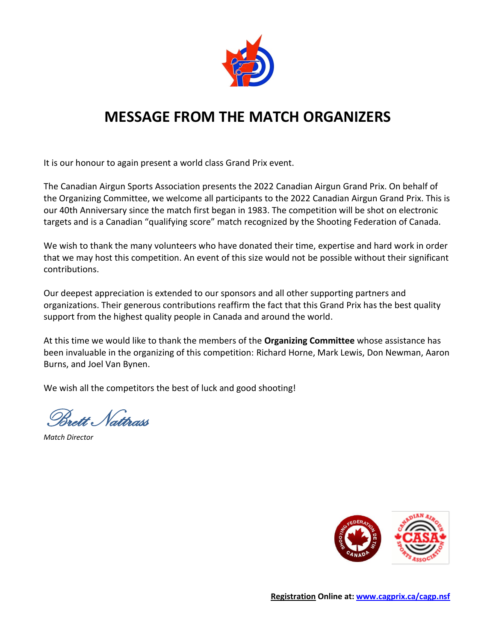

# **MESSAGE FROM THE MATCH ORGANIZERS**

It is our honour to again present a world class Grand Prix event.

The Canadian Airgun Sports Association presents the 2022 Canadian Airgun Grand Prix. On behalf of the Organizing Committee, we welcome all participants to the 2022 Canadian Airgun Grand Prix. This is our 40th Anniversary since the match first began in 1983. The competition will be shot on electronic targets and is a Canadian "qualifying score" match recognized by the Shooting Federation of Canada.

We wish to thank the many volunteers who have donated their time, expertise and hard work in order that we may host this competition. An event of this size would not be possible without their significant contributions.

Our deepest appreciation is extended to our sponsors and all other supporting partners and organizations. Their generous contributions reaffirm the fact that this Grand Prix has the best quality support from the highest quality people in Canada and around the world.

At this time we would like to thank the members of the **Organizing Committee** whose assistance has been invaluable in the organizing of this competition: Richard Horne, Mark Lewis, Don Newman, Aaron Burns, and Joel Van Bynen.

We wish all the competitors the best of luck and good shooting!

Brett Nattrass

*Match Director*

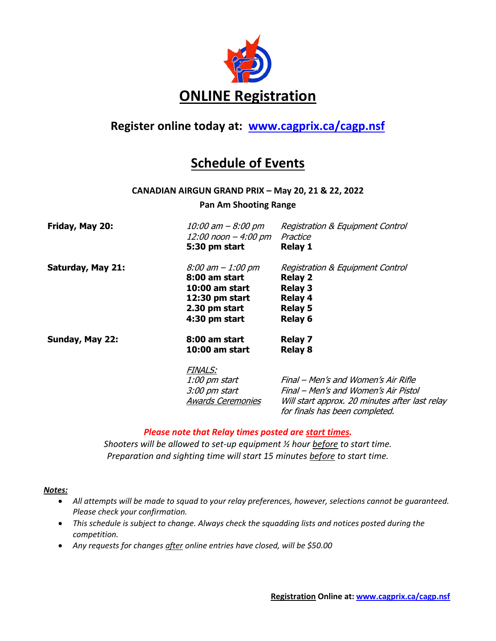

# **Register online today at: [www.cagprix.ca/cagp.nsf](http://www.cagprix.ca/cagp.nsf)**

# **Schedule of Events**

#### **CANADIAN AIRGUN GRAND PRIX – May 20, 21 & 22, 2022**

#### **Pan Am Shooting Range**

| Friday, May 20:          | 10:00 am - 8:00 pm<br>12:00 noon – 4:00 pm<br>5:30 pm start                                                | <b>Registration &amp; Equipment Control</b><br>Practice<br><b>Relay 1</b>                                           |
|--------------------------|------------------------------------------------------------------------------------------------------------|---------------------------------------------------------------------------------------------------------------------|
| <b>Saturday, May 21:</b> | 8:00 am - 1:00 pm<br>8:00 am start<br>10:00 am start<br>$12:30$ pm start<br>2.30 pm start<br>4:30 pm start | Registration & Equipment Control<br><b>Relay 2</b><br><b>Relay 3</b><br><b>Relay 4</b><br><b>Relay 5</b><br>Relay 6 |
| Sunday, May 22:          | 8:00 am start<br>10:00 am start                                                                            | <b>Relay 7</b><br><b>Relay 8</b>                                                                                    |
|                          | <b>FINALS:</b><br>1:00 pm start                                                                            | Final – Men's and Women's Air Rifle                                                                                 |

3:00 pm start Final – Men's and Women's Air Pistol Awards Ceremonies Will start approx. 20 minutes after last relay for finals has been completed.

#### *Please note that Relay times posted are start times.*

*Shooters will be allowed to set-up equipment ½ hour before to start time. Preparation and sighting time will start 15 minutes before to start time.*

#### *Notes:*

- *All attempts will be made to squad to your relay preferences, however, selections cannot be guaranteed. Please check your confirmation.*
- *This schedule is subject to change. Always check the squadding lists and notices posted during the competition.*
- *Any requests for changes after online entries have closed, will be \$50.00*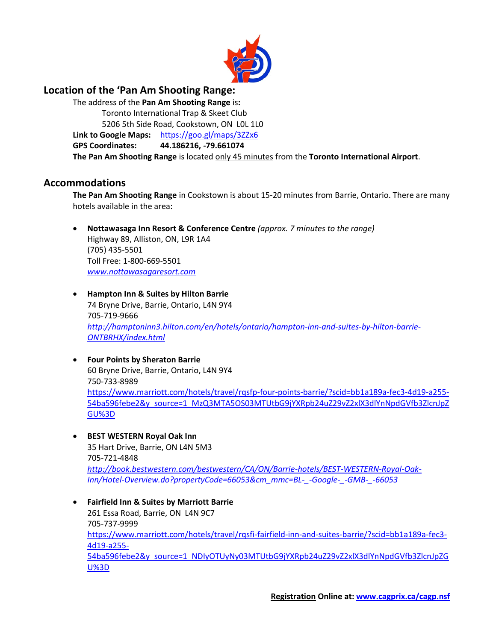

### **Location of the 'Pan Am Shooting Range:**

The address of the **Pan Am Shooting Range** is**:** Toronto International Trap & Skeet Club 5206 5th Side Road, Cookstown, ON L0L 1L0 **Link to Google Maps:** <https://goo.gl/maps/3ZZx6> **GPS Coordinates: 44.186216, -79.661074 The Pan Am Shooting Range** is located only 45 minutes from the **Toronto International Airport**.

#### **Accommodations**

**The Pan Am Shooting Range** in Cookstown is about 15-20 minutes from Barrie, Ontario. There are many hotels available in the area:

• **Nottawasaga Inn Resort & Conference Centre** *(approx. 7 minutes to the range)* Highway 89, Alliston, ON, L9R 1A4 (705) 435-5501

Toll Free: 1-800-669-5501 *[www.nottawasagaresort.com](http://www.nottawasagaresort.com/)*

- **Hampton Inn & Suites by Hilton Barrie** 74 Bryne Drive, Barrie, Ontario, L4N 9Y4 705-719-9666 *[http://hamptoninn3.hilton.com/en/hotels/ontario/hampton-inn-and-suites-by-hilton-barrie-](http://hamptoninn3.hilton.com/en/hotels/ontario/hampton-inn-and-suites-by-hilton-barrie-ONTBRHX/index.html)[ONTBRHX/index.html](http://hamptoninn3.hilton.com/en/hotels/ontario/hampton-inn-and-suites-by-hilton-barrie-ONTBRHX/index.html)*
- **Four Points by Sheraton Barrie** 60 Bryne Drive, Barrie, Ontario, L4N 9Y4 750-733-8989 [https://www.marriott.com/hotels/travel/rqsfp-four-points-barrie/?scid=bb1a189a-fec3-4d19-a255-](https://www.marriott.com/hotels/travel/rqsfp-four-points-barrie/?scid=bb1a189a-fec3-4d19-a255-54ba596febe2&y_source=1_MzQ3MTA5OS03MTUtbG9jYXRpb24uZ29vZ2xlX3dlYnNpdGVfb3ZlcnJpZGU%3D) [54ba596febe2&y\\_source=1\\_MzQ3MTA5OS03MTUtbG9jYXRpb24uZ29vZ2xlX3dlYnNpdGVfb3ZlcnJpZ](https://www.marriott.com/hotels/travel/rqsfp-four-points-barrie/?scid=bb1a189a-fec3-4d19-a255-54ba596febe2&y_source=1_MzQ3MTA5OS03MTUtbG9jYXRpb24uZ29vZ2xlX3dlYnNpdGVfb3ZlcnJpZGU%3D) [GU%3D](https://www.marriott.com/hotels/travel/rqsfp-four-points-barrie/?scid=bb1a189a-fec3-4d19-a255-54ba596febe2&y_source=1_MzQ3MTA5OS03MTUtbG9jYXRpb24uZ29vZ2xlX3dlYnNpdGVfb3ZlcnJpZGU%3D)
- **BEST WESTERN Royal Oak Inn**

35 Hart Drive, Barrie, ON L4N 5M3 705-721-4848 *[http://book.bestwestern.com/bestwestern/CA/ON/Barrie-hotels/BEST-WESTERN-Royal-Oak-](http://book.bestwestern.com/bestwestern/CA/ON/Barrie-hotels/BEST-WESTERN-Royal-Oak-Inn/Hotel-Overview.do?propertyCode=66053&cm_mmc=BL-_-Google-_-GMB-_-66053)[Inn/Hotel-Overview.do?propertyCode=66053&cm\\_mmc=BL-\\_-Google-\\_-GMB-\\_-66053](http://book.bestwestern.com/bestwestern/CA/ON/Barrie-hotels/BEST-WESTERN-Royal-Oak-Inn/Hotel-Overview.do?propertyCode=66053&cm_mmc=BL-_-Google-_-GMB-_-66053)*

• **Fairfield Inn & Suites by Marriott Barrie** 261 Essa Road, Barrie, ON L4N 9C7 705-737-9999 [https://www.marriott.com/hotels/travel/rqsfi-fairfield-inn-and-suites-barrie/?scid=bb1a189a-fec3-](https://www.marriott.com/hotels/travel/rqsfi-fairfield-inn-and-suites-barrie/?scid=bb1a189a-fec3-4d19-a255-54ba596febe2&y_source=1_NDIyOTUyNy03MTUtbG9jYXRpb24uZ29vZ2xlX3dlYnNpdGVfb3ZlcnJpZGU%3D) [4d19-a255-](https://www.marriott.com/hotels/travel/rqsfi-fairfield-inn-and-suites-barrie/?scid=bb1a189a-fec3-4d19-a255-54ba596febe2&y_source=1_NDIyOTUyNy03MTUtbG9jYXRpb24uZ29vZ2xlX3dlYnNpdGVfb3ZlcnJpZGU%3D) [54ba596febe2&y\\_source=1\\_NDIyOTUyNy03MTUtbG9jYXRpb24uZ29vZ2xlX3dlYnNpdGVfb3ZlcnJpZG](https://www.marriott.com/hotels/travel/rqsfi-fairfield-inn-and-suites-barrie/?scid=bb1a189a-fec3-4d19-a255-54ba596febe2&y_source=1_NDIyOTUyNy03MTUtbG9jYXRpb24uZ29vZ2xlX3dlYnNpdGVfb3ZlcnJpZGU%3D) [U%3D](https://www.marriott.com/hotels/travel/rqsfi-fairfield-inn-and-suites-barrie/?scid=bb1a189a-fec3-4d19-a255-54ba596febe2&y_source=1_NDIyOTUyNy03MTUtbG9jYXRpb24uZ29vZ2xlX3dlYnNpdGVfb3ZlcnJpZGU%3D)

**Registration Online at: [www.cagprix.ca/cagp.nsf](http://www.cagprix.ca/cagp.nsf)**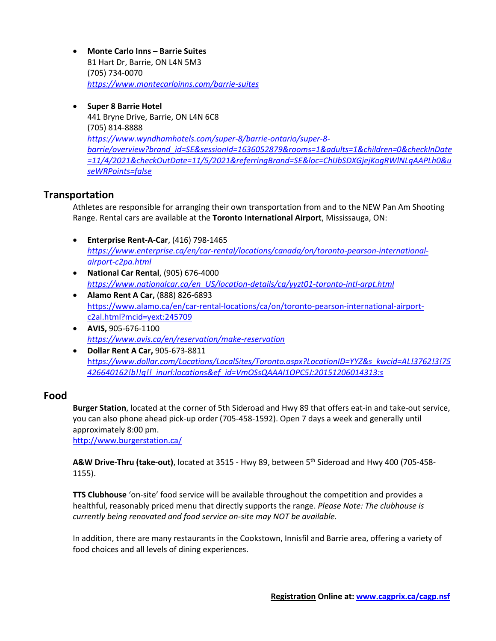- **Monte Carlo Inns – Barrie Suites** 81 Hart Dr, Barrie, ON L4N 5M3 (705) 734-0070 *<https://www.montecarloinns.com/barrie-suites>*
- **Super 8 Barrie Hotel** 441 Bryne Drive, Barrie, ON L4N 6C8 (705) 814-8888 *[https://www.wyndhamhotels.com/super-8/barrie-ontario/super-8](https://www.wyndhamhotels.com/super-8/barrie-ontario/super-8-barrie/overview?brand_id=SE&sessionId=1636052879&rooms=1&adults=1&children=0&checkInDate=11/4/2021&checkOutDate=11/5/2021&referringBrand=SE&loc=ChIJbSDXGjejKogRWlNLqAAPLh0&useWRPoints=false) [barrie/overview?brand\\_id=SE&sessionId=1636052879&rooms=1&adults=1&children=0&checkInDate](https://www.wyndhamhotels.com/super-8/barrie-ontario/super-8-barrie/overview?brand_id=SE&sessionId=1636052879&rooms=1&adults=1&children=0&checkInDate=11/4/2021&checkOutDate=11/5/2021&referringBrand=SE&loc=ChIJbSDXGjejKogRWlNLqAAPLh0&useWRPoints=false) [=11/4/2021&checkOutDate=11/5/2021&referringBrand=SE&loc=ChIJbSDXGjejKogRWlNLqAAPLh0&u](https://www.wyndhamhotels.com/super-8/barrie-ontario/super-8-barrie/overview?brand_id=SE&sessionId=1636052879&rooms=1&adults=1&children=0&checkInDate=11/4/2021&checkOutDate=11/5/2021&referringBrand=SE&loc=ChIJbSDXGjejKogRWlNLqAAPLh0&useWRPoints=false) [seWRPoints=false](https://www.wyndhamhotels.com/super-8/barrie-ontario/super-8-barrie/overview?brand_id=SE&sessionId=1636052879&rooms=1&adults=1&children=0&checkInDate=11/4/2021&checkOutDate=11/5/2021&referringBrand=SE&loc=ChIJbSDXGjejKogRWlNLqAAPLh0&useWRPoints=false)*

### **Transportation**

Athletes are responsible for arranging their own transportation from and to the NEW Pan Am Shooting Range. Rental cars are available at the **Toronto International Airport**, Mississauga, ON:

- **Enterprise Rent-A-Car**, (416) 798-1465 *[https://www.enterprise.ca/en/car-rental/locations/canada/on/toronto-pearson-international](https://www.enterprise.ca/en/car-rental/locations/canada/on/toronto-pearson-international-airport-c2pa.html)[airport-c2pa.html](https://www.enterprise.ca/en/car-rental/locations/canada/on/toronto-pearson-international-airport-c2pa.html)*
- **National Car Rental**, (905) 676-4000 *[https://www.nationalcar.ca/en\\_US/location-details/ca/yyzt01-toronto-intl-arpt.html](https://www.nationalcar.ca/en_US/location-details/ca/yyzt01-toronto-intl-arpt.html)*
- **Alamo Rent A Car,** (888) 826-6893 [https://www.alamo.ca/en/car-rental-locations/ca/on/toronto-pearson-international-airport](https://www.alamo.ca/en/car-rental-locations/ca/on/toronto-pearson-international-airport-c2al.html?mcid=yext:245709)[c2al.html?mcid=yext:245709](https://www.alamo.ca/en/car-rental-locations/ca/on/toronto-pearson-international-airport-c2al.html?mcid=yext:245709)
- **AVIS,** 905-676-1100 *<https://www.avis.ca/en/reservation/make-reservation>*
- **Dollar Rent A Car,** 905-673-8811 h*[ttps://www.dollar.com/Locations/LocalSites/Toronto.aspx?LocationID=YYZ&s\\_kwcid=AL!3762!3!75](https://www.dollar.com/Locations/LocalSites/Toronto.aspx?LocationID=YYZ&s_kwcid=AL!3762!3!75426640162!b!!g!!_inurl:locations&ef_id=VmOSsQAAAI1OPC5J:20151206014313:s) [426640162!b!!g!!\\_inurl:locations&ef\\_id=VmOSsQAAAI1OPC5J:20151206014313:s](https://www.dollar.com/Locations/LocalSites/Toronto.aspx?LocationID=YYZ&s_kwcid=AL!3762!3!75426640162!b!!g!!_inurl:locations&ef_id=VmOSsQAAAI1OPC5J:20151206014313:s)*

### **Food**

**Burger Station**, located at the corner of 5th Sideroad and Hwy 89 that offers eat-in and take-out service, you can also phone ahead pick-up order (705-458-1592). Open 7 days a week and generally until approximately 8:00 pm.

<http://www.burgerstation.ca/>

**A&W Drive-Thru (take-out)**, located at 3515 - Hwy 89, between 5th Sideroad and Hwy 400 (705-458- 1155).

**TTS Clubhouse** 'on-site' food service will be available throughout the competition and provides a healthful, reasonably priced menu that directly supports the range. *Please Note: The clubhouse is currently being renovated and food service on-site may NOT be available.*

In addition, there are many restaurants in the Cookstown, Innisfil and Barrie area, offering a variety of food choices and all levels of dining experiences.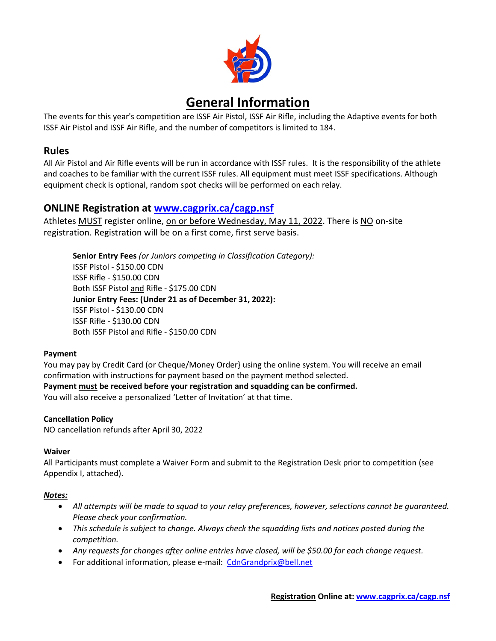

# **General Information**

The events for this year's competition are ISSF Air Pistol, ISSF Air Rifle, including the Adaptive events for both ISSF Air Pistol and ISSF Air Rifle, and the number of competitors is limited to 184.

### **Rules**

All Air Pistol and Air Rifle events will be run in accordance with ISSF rules. It is the responsibility of the athlete and coaches to be familiar with the current ISSF rules. All equipment must meet ISSF specifications. Although equipment check is optional, random spot checks will be performed on each relay.

## **ONLINE Registration at [www.cagprix.ca/cagp.nsf](http://www.cagprix.ca/cagp.nsf)**

Athletes MUST register online, on or before Wednesday, May 11, 2022. There is NO on-site registration. Registration will be on a first come, first serve basis.

**Senior Entry Fees** *(or Juniors competing in Classification Category):* ISSF Pistol - \$150.00 CDN ISSF Rifle - \$150.00 CDN Both ISSF Pistol and Rifle - \$175.00 CDN **Junior Entry Fees: (Under 21 as of December 31, 2022):** ISSF Pistol - \$130.00 CDN ISSF Rifle - \$130.00 CDN Both ISSF Pistol and Rifle - \$150.00 CDN

#### **Payment**

You may pay by Credit Card (or Cheque/Money Order} using the online system. You will receive an email confirmation with instructions for payment based on the payment method selected. **Payment must be received before your registration and squadding can be confirmed.** You will also receive a personalized 'Letter of Invitation' at that time.

#### **Cancellation Policy**

NO cancellation refunds after April 30, 2022

#### **Waiver**

All Participants must complete a Waiver Form and submit to the Registration Desk prior to competition (see Appendix I, attached).

#### *Notes:*

- *All attempts will be made to squad to your relay preferences, however, selections cannot be guaranteed. Please check your confirmation.*
- *This schedule is subject to change. Always check the squadding lists and notices posted during the competition.*
- *Any requests for changes after online entries have closed, will be \$50.00 for each change request.*
- For additional information, please e-mail: [CdnGrandprix@bell.net](mailto:CdnGrandprix@bell.net)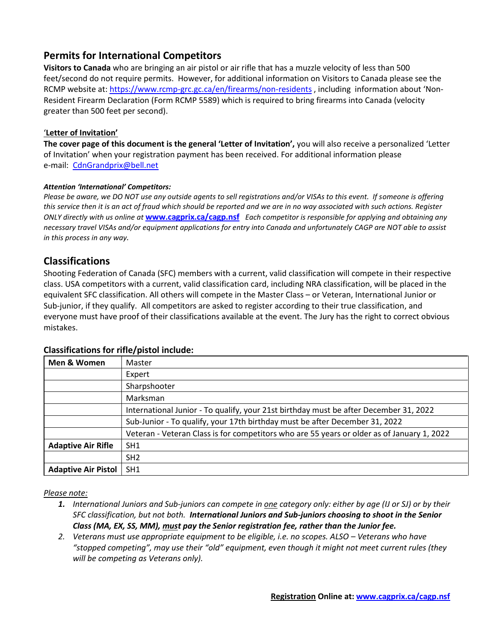# **Permits for International Competitors**

**Visitors to Canada** who are bringing an air pistol or air rifle that has a muzzle velocity of less than 500 feet/second do not require permits. However, for additional information on Visitors to Canada please see the RCMP website at:<https://www.rcmp-grc.gc.ca/en/firearms/non-residents> , including information about 'Non-Resident Firearm Declaration (Form RCMP 5589) which is required to bring firearms into Canada (velocity greater than 500 feet per second).

#### '**Letter of Invitation'**

**The cover page of this document is the general 'Letter of Invitation',** you will also receive a personalized 'Letter of Invitation' when your registration payment has been received. For additional information please e-mail: [CdnGrandprix@bell.net](mailto:CdnGrandprix@bell.net)

#### *Attention 'International' Competitors:*

*Please be aware, we DO NOT use any outside agents to sell registrations and/or VISAs to this event. If someone is offering this service then it is an act of fraud which should be reported and we are in no way associated with such actions. Register ONLY directly with us online at* **[www.cagprix.ca/cagp.nsf](http://www.cagprix.ca/cagp.nsf)** *Each competitor is responsible for applying and obtaining any necessary travel VISAs and/or equipment applications for entry into Canada and unfortunately CAGP are NOT able to assist in this process in any way.*

#### **Classifications**

Shooting Federation of Canada (SFC) members with a current, valid classification will compete in their respective class. USA competitors with a current, valid classification card, including NRA classification, will be placed in the equivalent SFC classification. All others will compete in the Master Class – or Veteran, International Junior or Sub-junior, if they qualify. All competitors are asked to register according to their true classification, and everyone must have proof of their classifications available at the event. The Jury has the right to correct obvious mistakes.

| Men & Women                | Master                                                                                     |
|----------------------------|--------------------------------------------------------------------------------------------|
|                            | Expert                                                                                     |
|                            | Sharpshooter                                                                               |
|                            | Marksman                                                                                   |
|                            | International Junior - To qualify, your 21st birthday must be after December 31, 2022      |
|                            | Sub-Junior - To qualify, your 17th birthday must be after December 31, 2022                |
|                            | Veteran - Veteran Class is for competitors who are 55 years or older as of January 1, 2022 |
| <b>Adaptive Air Rifle</b>  | SH <sub>1</sub>                                                                            |
|                            | SH <sub>2</sub>                                                                            |
| <b>Adaptive Air Pistol</b> | SH1                                                                                        |

#### **Classifications for rifle/pistol include:**

#### *Please note:*

- *1. International Juniors and Sub-juniors can compete in one category only: either by age (IJ or SJ) or by their SFC classification, but not both. International Juniors and Sub-juniors choosing to shoot in the Senior Class (MA, EX, SS, MM), must pay the Senior registration fee, rather than the Junior fee.*
- 2. *Veterans must use appropriate equipment to be eligible, i.e. no scopes. ALSO Veterans who have "stopped competing", may use their "old" equipment, even though it might not meet current rules (they will be competing as Veterans only).*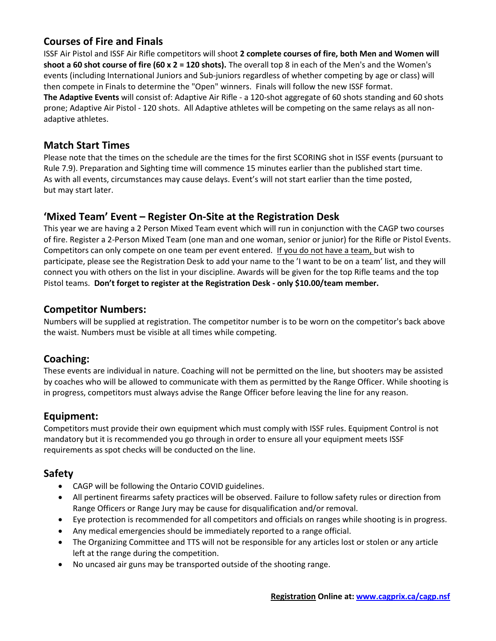# **Courses of Fire and Finals**

ISSF Air Pistol and ISSF Air Rifle competitors will shoot **2 complete courses of fire, both Men and Women will shoot a 60 shot course of fire (60 x 2 = 120 shots).** The overall top 8 in each of the Men's and the Women's events (including International Juniors and Sub-juniors regardless of whether competing by age or class) will then compete in Finals to determine the "Open" winners. Finals will follow the new ISSF format. **The Adaptive Events** will consist of: Adaptive Air Rifle - a 120-shot aggregate of 60 shots standing and 60 shots prone; Adaptive Air Pistol - 120 shots. All Adaptive athletes will be competing on the same relays as all nonadaptive athletes.

### **Match Start Times**

Please note that the times on the schedule are the times for the first SCORING shot in ISSF events (pursuant to Rule 7.9). Preparation and Sighting time will commence 15 minutes earlier than the published start time. As with all events, circumstances may cause delays. Event's will not start earlier than the time posted, but may start later.

# **'Mixed Team' Event – Register On-Site at the Registration Desk**

This year we are having a 2 Person Mixed Team event which will run in conjunction with the CAGP two courses of fire. Register a 2-Person Mixed Team (one man and one woman, senior or junior) for the Rifle or Pistol Events. Competitors can only compete on one team per event entered. If you do not have a team, but wish to participate, please see the Registration Desk to add your name to the 'I want to be on a team' list, and they will connect you with others on the list in your discipline. Awards will be given for the top Rifle teams and the top Pistol teams. **Don't forget to register at the Registration Desk - only \$10.00/team member.**

### **Competitor Numbers:**

Numbers will be supplied at registration. The competitor number is to be worn on the competitor's back above the waist. Numbers must be visible at all times while competing.

# **Coaching:**

These events are individual in nature. Coaching will not be permitted on the line, but shooters may be assisted by coaches who will be allowed to communicate with them as permitted by the Range Officer. While shooting is in progress, competitors must always advise the Range Officer before leaving the line for any reason.

### **Equipment:**

Competitors must provide their own equipment which must comply with ISSF rules. Equipment Control is not mandatory but it is recommended you go through in order to ensure all your equipment meets ISSF requirements as spot checks will be conducted on the line.

# **Safety**

- CAGP will be following the Ontario COVID guidelines.
- All pertinent firearms safety practices will be observed. Failure to follow safety rules or direction from Range Officers or Range Jury may be cause for disqualification and/or removal.
- Eye protection is recommended for all competitors and officials on ranges while shooting is in progress.
- Any medical emergencies should be immediately reported to a range official.
- The Organizing Committee and TTS will not be responsible for any articles lost or stolen or any article left at the range during the competition.
- No uncased air guns may be transported outside of the shooting range.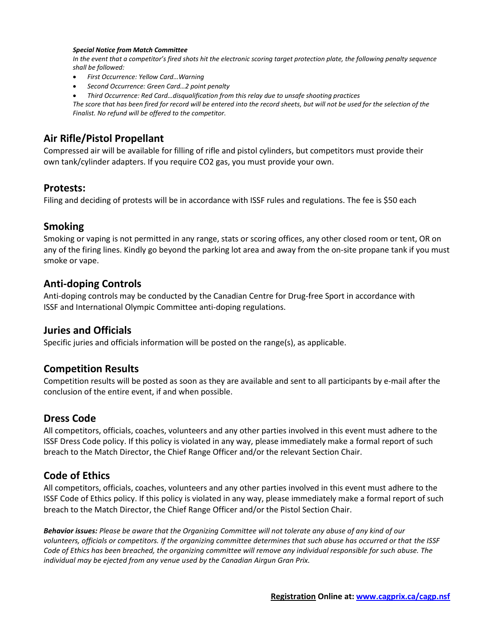#### *Special Notice from Match Committee*

*In the event that a competitor's fired shots hit the electronic scoring target protection plate, the following penalty sequence shall be followed:*

- *First Occurrence: Yellow Card…Warning*
- *Second Occurrence: Green Card…2 point penalty*
- *Third Occurrence: Red Card…disqualification from this relay due to unsafe shooting practices*

*The score that has been fired for record will be entered into the record sheets, but will not be used for the selection of the Finalist. No refund will be offered to the competitor.*

### **Air Rifle/Pistol Propellant**

Compressed air will be available for filling of rifle and pistol cylinders, but competitors must provide their own tank/cylinder adapters. If you require CO2 gas, you must provide your own.

#### **Protests:**

Filing and deciding of protests will be in accordance with ISSF rules and regulations. The fee is \$50 each

#### **Smoking**

Smoking or vaping is not permitted in any range, stats or scoring offices, any other closed room or tent, OR on any of the firing lines. Kindly go beyond the parking lot area and away from the on-site propane tank if you must smoke or vape.

#### **Anti-doping Controls**

Anti-doping controls may be conducted by the Canadian Centre for Drug-free Sport in accordance with ISSF and International Olympic Committee anti-doping regulations.

#### **Juries and Officials**

Specific juries and officials information will be posted on the range(s), as applicable.

#### **Competition Results**

Competition results will be posted as soon as they are available and sent to all participants by e-mail after the conclusion of the entire event, if and when possible.

#### **Dress Code**

All competitors, officials, coaches, volunteers and any other parties involved in this event must adhere to the ISSF Dress Code policy. If this policy is violated in any way, please immediately make a formal report of such breach to the Match Director, the Chief Range Officer and/or the relevant Section Chair.

#### **Code of Ethics**

All competitors, officials, coaches, volunteers and any other parties involved in this event must adhere to the ISSF Code of Ethics policy. If this policy is violated in any way, please immediately make a formal report of such breach to the Match Director, the Chief Range Officer and/or the Pistol Section Chair.

*Behavior issues: Please be aware that the Organizing Committee will not tolerate any abuse of any kind of our* volunteers, officials or competitors. If the organizing committee determines that such abuse has occurred or that the ISSF *Code of Ethics has been breached, the organizing committee will remove any individual responsible for such abuse. The individual may be ejected from any venue used by the Canadian Airgun Gran Prix.*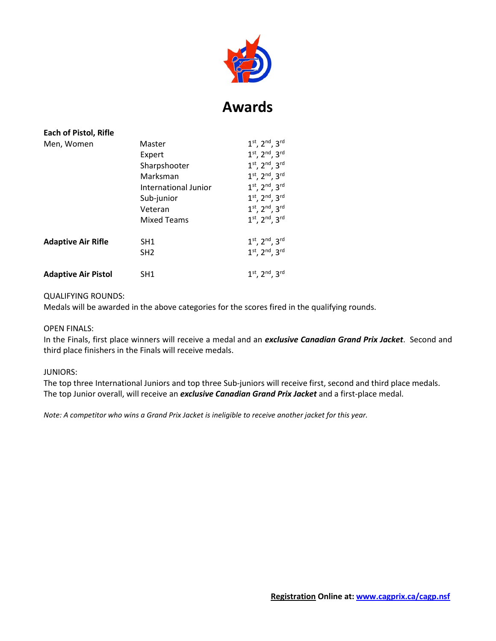

# **Awards**

| Each of Pistol, Rifle      |                      |                                |
|----------------------------|----------------------|--------------------------------|
| Men, Women                 | Master               | $1^{st}$ , $2^{nd}$ , $3^{rd}$ |
|                            | Expert               | $1^{st}$ , $2^{nd}$ , $3^{rd}$ |
|                            | Sharpshooter         | $1^{st}$ , $2^{nd}$ , $3^{rd}$ |
|                            | Marksman             | $1^{st}$ , $2^{nd}$ , $3^{rd}$ |
|                            | International Junior | $1^{st}$ , $2^{nd}$ , $3^{rd}$ |
|                            | Sub-junior           | $1^{st}$ , $2^{nd}$ , $3^{rd}$ |
|                            | Veteran              | $1^{st}$ , $2^{nd}$ , $3^{rd}$ |
|                            | <b>Mixed Teams</b>   | $1^{st}$ , $2^{nd}$ , $3^{rd}$ |
| <b>Adaptive Air Rifle</b>  | SH <sub>1</sub>      | $1^{st}$ , $2^{nd}$ , $3^{rd}$ |
|                            | SH <sub>2</sub>      | $1^{st}$ , $2^{nd}$ , $3^{rd}$ |
| <b>Adaptive Air Pistol</b> | SH <sub>1</sub>      | $1^{st}$ , $2^{nd}$ , $3^{rd}$ |

#### QUALIFYING ROUNDS:

Medals will be awarded in the above categories for the scores fired in the qualifying rounds.

#### OPEN FINALS:

In the Finals, first place winners will receive a medal and an *exclusive Canadian Grand Prix Jacket*. Second and third place finishers in the Finals will receive medals.

#### JUNIORS:

The top three International Juniors and top three Sub-juniors will receive first, second and third place medals. The top Junior overall, will receive an *exclusive Canadian Grand Prix Jacket* and a first-place medal.

*Note: A competitor who wins a Grand Prix Jacket is ineligible to receive another jacket for this year.*